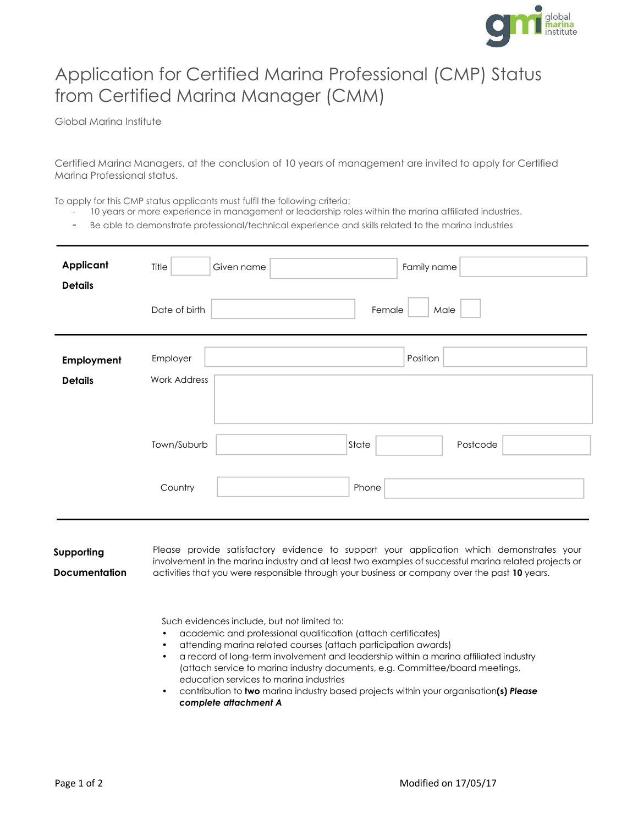

## Application for Certified Marina Professional (CMP) Status from Certified Marina Manager (CMM)

Global Marina Institute

Certified Marina Managers, at the conclusion of 10 years of management are invited to apply for Certified Marina Professional status.

To apply for this CMP status applicants must fulfil the following criteria:

- 10 years or more experience in management or leadership roles within the marina affiliated industries.
- Be able to demonstrate professional/technical experience and skills related to the marina industries

| Applicant<br><b>Details</b>  | Title<br>Family name<br>Given name   |
|------------------------------|--------------------------------------|
|                              | Date of birth<br>Female<br>Male      |
| Employment<br><b>Details</b> | Position<br>Employer<br>Work Address |
|                              | Town/Suburb<br>State<br>Postcode     |
|                              | Country<br>Phone                     |

Supporting

**Documentation** 

Please provide satisfactory evidence to support your application which demonstrates your involvement in the marina industry and at least two examples of successful marina related projects or activities that you were responsible through your business or company over the past 10 years.

Such evidences include, but not limited to:

- academic and professional qualification (attach certificates)
- attending marina related courses (attach participation awards)
- a record of long-term involvement and leadership within a marina affiliated industry (attach service to marina industry documents, e.g. Committee/board meetings, education services to marina industries
- contribution to two marina industry based projects within your organisation(s) Please complete attachment A